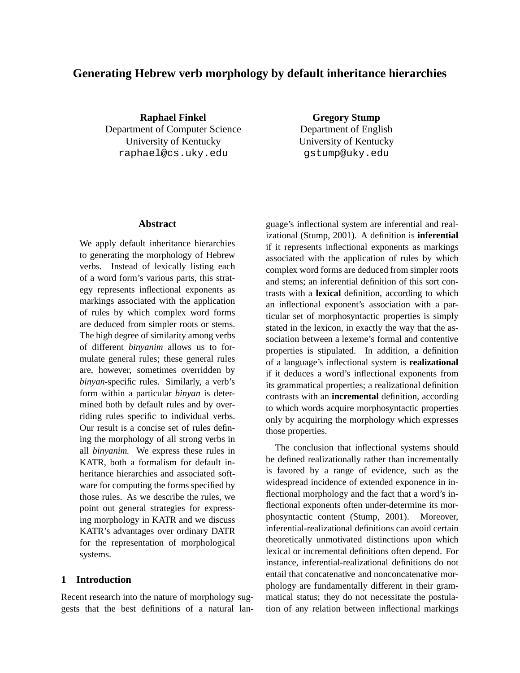# **Generating Hebrew verb morphology by default inheritance hierarchies**

**Raphael Finkel** Department of Computer Science University of Kentucky raphael@cs.uky.edu

**Gregory Stump** Department of English University of Kentucky gstump@uky.edu

### **Abstract**

We apply default inheritance hierarchies to generating the morphology of Hebrew verbs. Instead of lexically listing each of a word form's various parts, this strategy represents inflectional exponents as markings associated with the application of rules by which complex word forms are deduced from simpler roots or stems. The high degree of similarity among verbs of different *binyanim* allows us to formulate general rules; these general rules are, however, sometimes overridden by *binyan*-specific rules. Similarly, a verb's form within a particular *binyan* is determined both by default rules and by overriding rules specific to individual verbs. Our result is a concise set of rules defining the morphology of all strong verbs in all *binyanim*. We express these rules in KATR, both a formalism for default inheritance hierarchies and associated software for computing the forms specified by those rules. As we describe the rules, we point out general strategies for expressing morphology in KATR and we discuss KATR's advantages over ordinary DATR for the representation of morphological systems.

### **1 Introduction**

Recent research into the nature of morphology suggests that the best definitions of a natural language's inflectional system are inferential and realizational (Stump, 2001). A definition is **inferential** if it represents inflectional exponents as markings associated with the application of rules by which complex word forms are deduced from simpler roots and stems; an inferential definition of this sort contrasts with a **lexical** definition, according to which an inflectional exponent's association with a particular set of morphosyntactic properties is simply stated in the lexicon, in exactly the way that the association between a lexeme's formal and contentive properties is stipulated. In addition, a definition of a language's inflectional system is **realizational** if it deduces a word's inflectional exponents from its grammatical properties; a realizational definition contrasts with an **incremental** definition, according to which words acquire morphosyntactic properties only by acquiring the morphology which expresses those properties.

The conclusion that inflectional systems should be defined realizationally rather than incrementally is favored by a range of evidence, such as the widespread incidence of extended exponence in inflectional morphology and the fact that a word's inflectional exponents often under-determine its morphosyntactic content (Stump, 2001). Moreover, inferential-realizational definitions can avoid certain theoretically unmotivated distinctions upon which lexical or incremental definitions often depend. For instance, inferential-realizational definitions do not entail that concatenative and nonconcatenative morphology are fundamentally different in their grammatical status; they do not necessitate the postulation of any relation between inflectional markings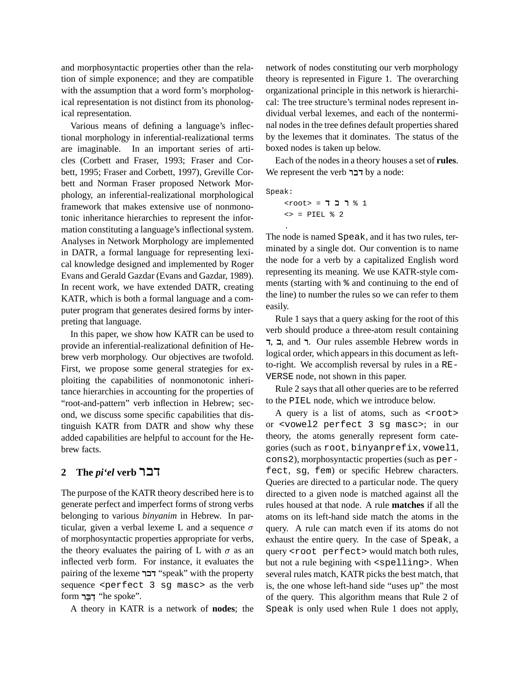and morphosyntactic properties other than the relation of simple exponence; and they are compatible with the assumption that a word form's morphological representation is not distinct from its phonological representation.

Various means of defining a language's inflectional morphology in inferential-realizational terms are imaginable. In an important series of articles (Corbett and Fraser, 1993; Fraser and Corbett, 1995; Fraser and Corbett, 1997), Greville Corbett and Norman Fraser proposed Network Morphology, an inferential-realizational morphological framework that makes extensive use of nonmonotonic inheritance hierarchies to represent the information constituting a language's inflectional system. Analyses in Network Morphology are implemented in DATR, a formal language for representing lexical knowledge designed and implemented by Roger Evans and Gerald Gazdar (Evans and Gazdar, 1989). In recent work, we have extended DATR, creating KATR, which is both a formal language and a computer program that generates desired forms by interpreting that language.

In this paper, we show how KATR can be used to provide an inferential-realizational definition of Hebrew verb morphology. Our objectives are twofold. First, we propose some general strategies for exploiting the capabilities of nonmonotonic inheritance hierarchies in accounting for the properties of "root-and-pattern" verb inflection in Hebrew; second, we discuss some specific capabilities that distinguish KATR from DATR and show why these added capabilities are helpful to account for the Hebrew facts.

### **2 The** *pi'el* **verb** -

The purpose of the KATR theory described here is to generate perfect and imperfect forms of strong verbs belonging to various *binyanim* in Hebrew. In particular, given a verbal lexeme L and a sequence  $\sigma$ of morphosyntactic properties appropriate for verbs, the theory evaluates the pairing of L with  $\sigma$  as an inflected verb form. For instance, it evaluates the pairing of the lexeme רבר "speak" with the property sequence <perfect 3 sg masc> as the verb form רבר "he spoke".

A theory in KATR is a network of **nodes**; the

network of nodes constituting our verb morphology theory is represented in Figure 1. The overarching organizational principle in this network is hierarchical: The tree structure's terminal nodes represent individual verbal lexemes, and each of the nonterminal nodes in the tree defines default properties shared by the lexemes that it dominates. The status of the boxed nodes is taken up below.

Each of the nodes in a theory houses a set of **rules**. We represent the verb דבר by a node:

Speak:

.

 $<$   $\text{root}$  =  $\sim$   $\sim$  1  $\langle \rangle$  = PIEL % 2

The node is named Speak, and it has two rules, terminated by a single dot. Our convention is to name the node for a verb by a capitalized English word representing its meaning. We use KATR-style comments (starting with % and continuing to the end of the line) to number the rules so we can refer to them easily.

Rule 1 says that a query asking for the root of this verb should produce a three-atom result containing ר, ב, and . Our rules assemble Hebrew words in logical order, which appears in this document as leftto-right. We accomplish reversal by rules in a RE-VERSE node, not shown in this paper.

Rule 2 says that all other queries are to be referred to the PIEL node, which we introduce below.

A query is a list of atoms, such as <root> or <vowel2 perfect 3 sg masc>; in our theory, the atoms generally represent form categories (such as root, binyanprefix, vowel1, cons2), morphosyntactic properties (such as perfect, sg, fem) or specific Hebrew characters. Queries are directed to a particular node. The query directed to a given node is matched against all the rules housed at that node. A rule **matches** if all the atoms on its left-hand side match the atoms in the query. A rule can match even if its atoms do not exhaust the entire query. In the case of Speak, a query <root perfect> would match both rules, but not a rule begining with <spelling>. When several rules match, KATR picks the best match, that is, the one whose left-hand side "uses up" the most of the query. This algorithm means that Rule 2 of Speak is only used when Rule 1 does not apply,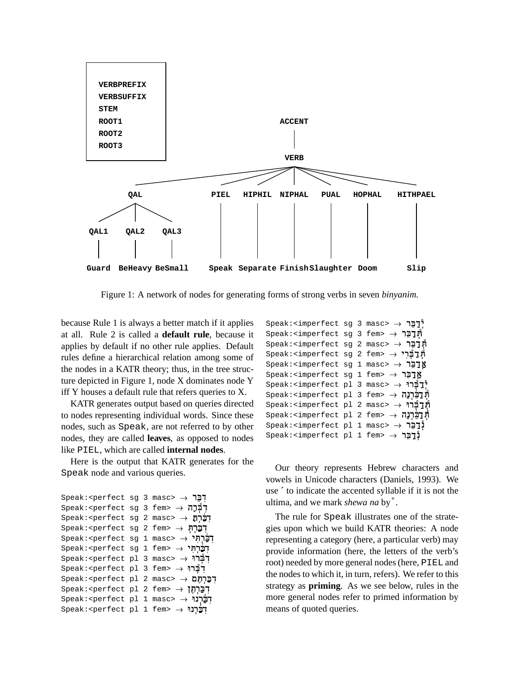

Figure 1: A network of nodes for generating forms of strong verbs in seven *binyanim*.

because Rule 1 is always a better match if it applies at all. Rule 2 is called a **default rule**, because it applies by default if no other rule applies. Default rules define a hierarchical relation among some of the nodes in a KATR theory; thus, in the tree structure depicted in Figure 1, node X dominates node Y iff Y houses a default rule that refers queries to X.

KATR generates output based on queries directed to nodes representing individual words. Since these nodes, such as Speak, are not referred to by other nodes, they are called **leaves**, as opposed to nodes like PIEL, which are called **internal nodes**.

Here is the output that KATR generates for the Speak node and various queries.

```
Speak:<perfect sg 3 masc> \rightarrow \overline{z}Speak:<perfect sg 3 fem> \rightarrow הְבְּׁרָה
Speak:<perfect sg 2 masc>    	
Speak:<perfect sg 2 fem> \rightarrow הברח
Speak:<perfect sg 1 masc> \rightarrow "הברחי
Speak:<perfect sq 1 fem> \rightarrow \overline{r}Speak:<perfect pl 3 masc> \rightarrow \overline{1}Speak:<perfect pl 3 fem> \rightarrow "הברו
קְבֵרְחֶם → Speak:<perfect pl 2 masc>
Speak:<perfect pl 2 fem> \rightarrow "הַרְהָן
Speak:<perfect pl 1 masc> \rightarrow \overrightarrow{P}Speak:<perfect pl 1 fem> \rightarrow \rightarrow
```

| $Speak$ : <imperfect 3="" masc="" sq=""> <math>\rightarrow</math> <math>\mathbb{Z}</math></imperfect> |  |  |
|-------------------------------------------------------------------------------------------------------|--|--|
| $Speak$ : <imperfect 3="" fem="" sq=""> <math>\rightarrow</math> תרבר</imperfect>                     |  |  |
| מְרַבֶּר → Speak: <imperfect 2="" masc="" sg=""></imperfect>                                          |  |  |
| מְרַבְרִי → Speak: <imperfect 2="" fem="" sg=""> → תְּבְרִי</imperfect>                               |  |  |
| Speak: <imperfect 1="" masc="" sg=""> → אַבַּבֶר</imperfect>                                          |  |  |
| Speak: <imperfect 1="" fem="" sg=""> → אַרַבֶּר</imperfect>                                           |  |  |
| $\texttt{Speak:}\texttt{cimperfect}$ 1 3 masc> $\rightarrow$ יְ $\texttt{C}$                          |  |  |
| מְרַכֵּרְנַה → Speak: <imperfect 3="" fem="" pl=""> →</imperfect>                                     |  |  |
| תְּדַבְּרוּ → Speak: <imperfect 2="" masc="" pl=""> → תְּדַבְרוּ</imperfect>                          |  |  |
| ת <b>ְרַכְּרְנַה →</b> Speak: <imperfect 2="" fem="" pl=""> →</imperfect>                             |  |  |
| $Speak$ : <imperfect 1="" masc="" pl=""> <math>\rightarrow</math> 17</imperfect>                      |  |  |
| נְדֵבֶר → Speak: <imperfect 1="" fem="" pl=""> →</imperfect>                                          |  |  |

Our theory represents Hebrew characters and vowels in Unicode characters (Daniels, 1993). We use **´** to indicate the accented syllable if it is not the ultima, and we mark *shewa na* by / .

The rule for Speak illustrates one of the strategies upon which we build KATR theories: A node representing a category (here, a particular verb) may provide information (here, the letters of the verb's root) needed by more general nodes(here, PIEL and the nodes to which it, in turn, refers). We refer to this strategy as **priming**. As we see below, rules in the more general nodes refer to primed information by means of quoted queries.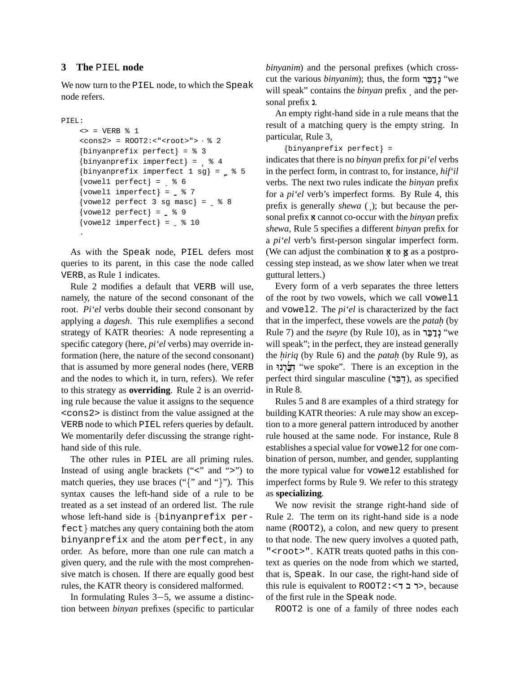#### **3 The** PIEL **node**

We now turn to the PIEL node, to which the Speak node refers.

```
PIEL:
```

```
\leq = VERB \frac{6}{5} 1
<cons2> = ROOT2:<"<root>"> % 2
\{binyanprefix perfect\} = %3\{ \text{binyanprefix} \text{ imperfect} \} = 84\{ \text{binyanprefix imperfect 1 sg} \} = \_ % 5
\{vowel1 perfect\} = %6\{vowel1 \text{ imperfect}\} = \frac{8}{7}\{vowel2 perfect 3 sg masc\} = %8\{vowel2 perfect\} = \frac{8}{9}\{v{\text{owell}}\} = \frac{8}{10}.
```
As with the Speak node, PIEL defers most queries to its parent, in this case the node called VERB, as Rule 1 indicates.

Rule 2 modifies a default that VERB will use, namely, the nature of the second consonant of the root. *Pi'el* verbs double their second consonant by applying a *dagesh*. This rule exemplifies a second strategy of KATR theories: A node representing a specific category (here, *pi'el* verbs) may override information (here, the nature of the second consonant) that is assumed by more general nodes (here, VERB and the nodes to which it, in turn, refers). We refer to this strategy as **overriding**. Rule 2 is an overriding rule because the value it assigns to the sequence <cons2> is distinct from the value assigned at the VERB node to which PIEL refers queries by default. We momentarily defer discussing the strange righthand side of this rule.

The other rules in PIEL are all priming rules. Instead of using angle brackets  $("<"$  and " $>"$ ") to match queries, they use braces (" $\{$ " and " $\}$ "). This syntax causes the left-hand side of a rule to be treated as a set instead of an ordered list. The rule whose left-hand side is  $\{ \text{binary} \}$  per $fect$ } matches any query containing both the atom binyanprefix and the atom perfect, in any order. As before, more than one rule can match a given query, and the rule with the most comprehensive match is chosen. If there are equally good best rules, the KATR theory is considered malformed.

In formulating Rules  $3-5$ , we assume a distinction between *binyan* prefixes (specific to particular *binyanim*) and the personal prefixes (which crosscut the various *binyanim*); thus, the form יְנַדְבֶּר "we will speak" contains the *binyan* prefix and the personal prefix 1.

An empty right-hand side in a rule means that the result of a matching query is the empty string. In particular, Rule 3,

```
{binyanprefix perfect} =
```
indicates that there is no *binyan* prefix for *pi'el* verbs in the perfect form, in contrast to, for instance, *hif'il* verbs. The next two rules indicate the *binyan* prefix for a *pi'el* verb's imperfect forms. By Rule 4, this prefix is generally *shewa* ( ); but because the personal prefix **x** cannot co-occur with the *binyan* prefix *shewa*, Rule 5 specifies a different *binyan* prefix for a *pi'el* verb's first-person singular imperfect form. (We can adjust the combination  $\boldsymbol{\kappa}$  to  $\boldsymbol{\kappa}$  as a postprocessing step instead, as we show later when we treat guttural letters.)

Every form of a verb separates the three letters of the root by two vowels, which we call vowel1 and vowel2. The *pi'el* is characterized by the fact that in the imperfect, these vowels are the *patah.* (by Rule 7) and the *tseyre* (by Rule 10), as in ינבר "we will speak"; in the perfect, they are instead generally the *hiriq* (by Rule 6) and the *patah* (by Rule 9), as in "הַבְּרְנוּ "we spoke". There is an exception in the perfect third singular masculine (דְבֵּר), as specified in Rule 8.

Rules 5 and 8 are examples of a third strategy for building KATR theories: A rule may show an exception to a more general pattern introduced by another rule housed at the same node. For instance, Rule 8 establishes a special value for vowel2 for one combination of person, number, and gender, supplanting the more typical value for vowel2 established for imperfect forms by Rule 9. We refer to this strategy as **specializing**.

We now revisit the strange right-hand side of Rule 2. The term on its right-hand side is a node name (ROOT2), a colon, and new query to present to that node. The new query involves a quoted path, "<root>". KATR treats quoted paths in this context as queries on the node from which we started, that is, Speak. In our case, the right-hand side of this rule is equivalent to  $ROOT2: < 7$  -  $>$ , because of the first rule in the Speak node.

ROOT2 is one of a family of three nodes each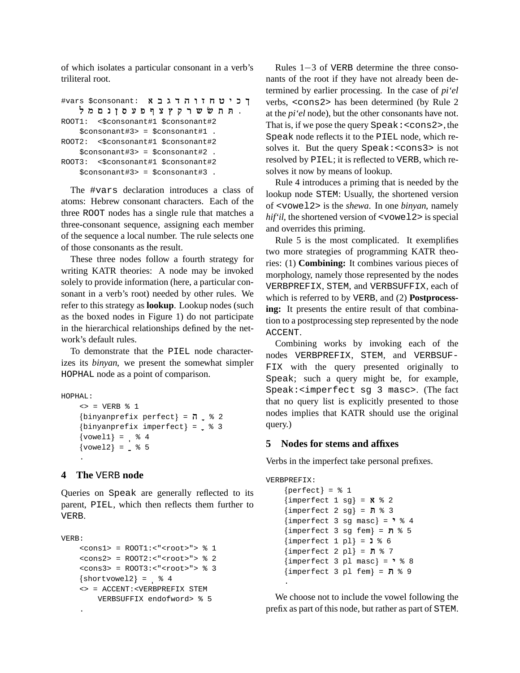of which isolates a particular consonant in a verb's triliteral root.

```
#vars $consonant: זוה דגבא
   . תת ששר קץצף פעסןנם מל
ROOT1: <$consonant#1 $consonant#2
   $consonant#3> = $consonant#1 .
ROOT2: <$consonant#1 $consonant#2
   $consonant#3> = $consonant#2 .
ROOT3: <$consonant#1 $consonant#2
   $consonant#3> = $consonant#3 .
```
The #vars declaration introduces a class of atoms: Hebrew consonant characters. Each of the three ROOT nodes has a single rule that matches a three-consonant sequence, assigning each member of the sequence a local number. The rule selects one of those consonants as the result.

These three nodes follow a fourth strategy for writing KATR theories: A node may be invoked solely to provide information (here, a particular consonant in a verb's root) needed by other rules. We refer to this strategy as **lookup**. Lookup nodes (such as the boxed nodes in Figure 1) do not participate in the hierarchical relationships defined by the network's default rules.

To demonstrate that the PIEL node characterizes its *binyan*, we present the somewhat simpler HOPHAL node as a point of comparison.

```
HOPHAL:
```

```
\iff = VERB § 1
\{ \text{binyanprefix perfect} \} = \pi \frac{2}{3} 2
\{ \text{binyanprefix} \text{ imperfect} \} = _\$ 3\{vowel1\} = \; % 4
\{vowel2\} = \frac{8}{5}.
```
### **4 The** VERB **node**

Queries on Speak are generally reflected to its parent, PIEL, which then reflects them further to VERB.

```
VERB:
    <cons1> = ROOT1:<"<root>"> % 1
    <cons2> = ROOT2:<"<root>"> % 2
    <cons3> = ROOT3:<"<root>"> % 3
    \{shortvol2\} = % 4<> = ACCENT:<VERBPREFIX STEM
       VERBSUFFIX endofword> % 5
    .
```
Rules  $1-3$  of VERB determine the three consonants of the root if they have not already been determined by earlier processing. In the case of *pi'el* verbs, <cons2> has been determined (by Rule 2 at the *pi'el* node), but the other consonants have not. That is, if we pose the query  $\text{Speak}: <\text{cons2}>$ , the Speak node reflects it to the PIEL node, which resolves it. But the query Speak:<cons3> is not resolved by PIEL; it is reflected to VERB, which resolves it now by means of lookup.

Rule 4 introduces a priming that is needed by the lookup node STEM: Usually, the shortened version of <vowel2> is the *shewa*. In one *binyan*, namely *hif'il*, the shortened version of <vowel2> is special and overrides this priming.

Rule 5 is the most complicated. It exemplifies two more strategies of programming KATR theories: (1) **Combining:** It combines various pieces of morphology, namely those represented by the nodes VERBPREFIX, STEM, and VERBSUFFIX, each of which is referred to by VERB, and (2) **Postprocessing:** It presents the entire result of that combination to a postprocessing step represented by the node ACCENT.

Combining works by invoking each of the nodes VERBPREFIX, STEM, and VERBSUF-FIX with the query presented originally to Speak; such a query might be, for example, Speak:<imperfect sg 3 masc>. (The fact that no query list is explicitly presented to those nodes implies that KATR should use the original query.)

### **5 Nodes for stems and affixes**

Verbs in the imperfect take personal prefixes.

```
VERBPREFIX:
     {perfect} = % 1
     {imperfect\ 1\ sg} = X \ 2
     {imperfect 2 sg} = N % 3
     {imperfect 3 sg masc} = " % 4
     {imperfect} 3 sg fem} = \blacksquare % 5
     {imperfect 1 pl} = 1 % 6{imperfect 2 pl} = N % 7
     {imperfect 3 pl masc} = " % 8
     {imperfect} 3 pl fem} = \blacksquare % 9
    .
```
We choose not to include the vowel following the prefix as part of this node, but rather as part of STEM.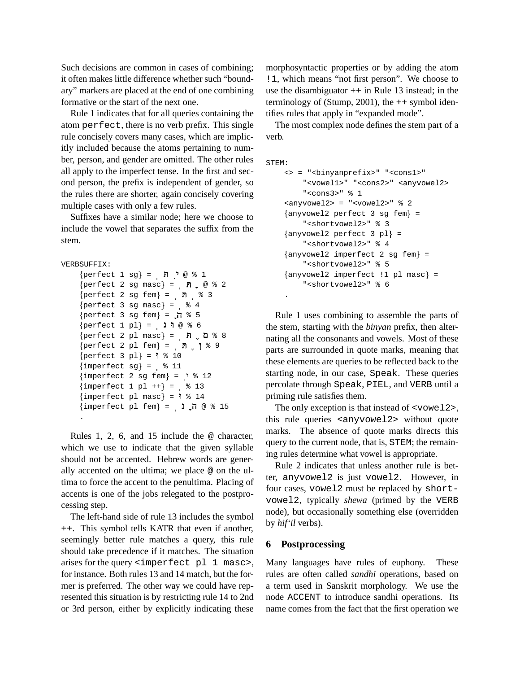Such decisions are common in cases of combining; it often makes little difference whether such "boundary" markers are placed at the end of one combining formative or the start of the next one.

Rule 1 indicates that for all queries containing the atom perfect, there is no verb prefix. This single rule concisely covers many cases, which are implicitly included because the atoms pertaining to number, person, and gender are omitted. The other rules all apply to the imperfect tense. In the first and second person, the prefix is independent of gender, so the rules there are shorter, again concisely covering multiple cases with only a few rules.

Suffixes have a similar node; here we choose to include the vowel that separates the suffix from the stem.

```
VERBSUFFIX:
```

```
\{perfect\ 1\ sg\} = \n\cdot\ \n\cdot\ \n\circ\ 1{perfect 2 sg masc} = n e * 20
perfect 2 sg fem1 =  T % 3
\{perfect\ 3\ sg\ masc\} = %4\{perfect\ 3\ sgn\ few\} = \bar{\Pi} % 5
\{perfect 1 pl\} = 100 8 6
{perfect 2 pl masc} = 7.88{perfect 2 pl fem} = n | 8 9
{perfect 3 pl} = 1 % 10{imperfect sgl} = % 11{imperfect 2 sg fem} = ' % 12{imperfect 1 pl ++} = % 13{imperfect\ pl\ masc} = 1 % 14
{imperfect\ pl\ fem} = 1\ \bar{1}\@\mbox{$\sim$} 15.
```
Rules 1, 2, 6, and 15 include the @ character, which we use to indicate that the given syllable should not be accented. Hebrew words are generally accented on the ultima; we place @ on the ultima to force the accent to the penultima. Placing of accents is one of the jobs relegated to the postprocessing step.

The left-hand side of rule 13 includes the symbol ++. This symbol tells KATR that even if another, seemingly better rule matches a query, this rule should take precedence if it matches. The situation arises for the query <imperfect pl 1 masc>, for instance. Both rules 13 and 14 match, but the former is preferred. The other way we could have represented this situation is by restricting rule 14 to 2nd or 3rd person, either by explicitly indicating these

morphosyntactic properties or by adding the atom !1, which means "not first person". We choose to use the disambiguator  $++$  in Rule 13 instead; in the terminology of (Stump, 2001), the  $++$  symbol identifies rules that apply in "expanded mode".

The most complex node defines the stem part of a verb.

```
STEM:
    <> = "<binyanprefix>" "<cons1>"
         "<vowel1>" "<cons2>" <anyvowel2>
         "<cons3>" % 1
    \langle <anyvowel2> = "<vowel2>" \& 2
    0
anyvowel2 perfect 3 sg fem1 =
         "<shortvowel2>" % 3
    \{ {\rm any} {\rm vowel2\,\,\, perfect\,\,\, 3\,\,\,pl}\} =
         "<shortvowel2>" % 4
    0
anyvowel2 imperfect 2 sg fem 1 =
         "<shortvowel2>" % 5
    {anyvowel2 imperfect !1 pl masc} =
         "<shortvowel2>" % 6
    .
```
Rule 1 uses combining to assemble the parts of the stem, starting with the *binyan* prefix, then alternating all the consonants and vowels. Most of these parts are surrounded in quote marks, meaning that these elements are queries to be reflected back to the starting node, in our case, Speak. These queries percolate through Speak, PIEL, and VERB until a priming rule satisfies them.

The only exception is that instead of <vowel2>, this rule queries <anyvowel2> without quote marks. The absence of quote marks directs this query to the current node, that is, STEM; the remaining rules determine what vowel is appropriate.

Rule 2 indicates that unless another rule is better, anyvowel2 is just vowel2. However, in four cases, vowel2 must be replaced by shortvowel2, typically *shewa* (primed by the VERB node), but occasionally something else (overridden by *hif'il* verbs).

#### **6 Postprocessing**

Many languages have rules of euphony. These rules are often called *sandhi* operations, based on a term used in Sanskrit morphology. We use the node ACCENT to introduce sandhi operations. Its name comes from the fact that the first operation we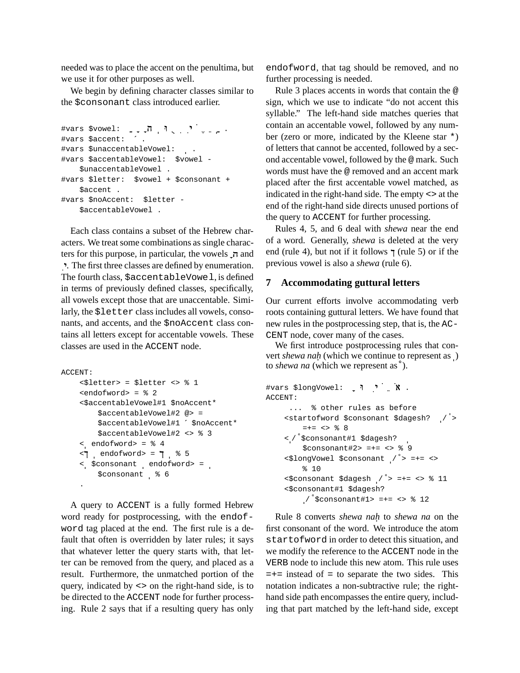needed was to place the accent on the penultima, but we use it for other purposes as well.

We begin by defining character classes similar to the \$consonant class introduced earlier.

```
#vars $vowel:  BU  %VWX !
 ) 
  .
#vars $accent: ´ .
#vars $unaccentableVowel:  .
#vars $accentableVowel: $vowel -
   $unaccentableVowel .
#vars $letter: $vowel + $consonant +
   $accent .
#vars $noAccent: $letter -
   $accentableVowel .
```
Each class contains a subset of the Hebrew characters. We treat some combinations as single characters for this purpose, in particular, the vowels  $\overline{\phantom{a}}$  and !. The first three classes are defined by enumeration. The fourth class, \$accentableVowel, is defined in terms of previously defined classes, specifically, all vowels except those that are unaccentable. Similarly, the \$letter classincludes all vowels, consonants, and accents, and the \$noAccent class contains all letters except for accentable vowels. These classes are used in the ACCENT node.

```
ACCENT:
    <$letter> = $letter <> % 1
    <endofword> = % 2
    <$accentableVowel#1 $noAccent*
        $accentableVowel#2 @> =
        $accentableVowel#1 ´ $noAccent*
        $accentableVowel#2 <> % 3
    <  endofword> = % 4
    \le | endofword> = \mid % 5
    <  $consonant  endofword> = 
        $consonant  % 6
    .
```
A query to ACCENT is a fully formed Hebrew word ready for postprocessing, with the endofword tag placed at the end. The first rule is a default that often is overridden by later rules; it says that whatever letter the query starts with, that letter can be removed from the query, and placed as a result. Furthermore, the unmatched portion of the query, indicated by <> on the right-hand side, is to be directed to the ACCENT node for further processing. Rule 2 says that if a resulting query has only

endofword, that tag should be removed, and no further processing is needed.

Rule 3 places accents in words that contain the @ sign, which we use to indicate "do not accent this syllable." The left-hand side matches queries that contain an accentable vowel, followed by any number (zero or more, indicated by the Kleene star \*) of letters that cannot be accented, followed by a second accentable vowel, followed by the @ mark. Such words must have the @ removed and an accent mark placed after the first accentable vowel matched, as indicated in the right-hand side. The empty <> at the end of the right-hand side directs unused portions of the query to ACCENT for further processing.

Rules 4, 5, and 6 deal with *shewa* near the end of a word. Generally, *shewa* is deleted at the very end (rule 4), but not if it follows  $\uparrow$  (rule 5) or if the previous vowel is also a *shewa* (rule 6).

#### **7 Accommodating guttural letters**

Our current efforts involve accommodating verb roots containing guttural letters. We have found that new rules in the postprocessing step, that is, the AC-CENT node, cover many of the cases.

We first introduce postprocessing rules that convert *shewa nah* (which we continue to represent as ) to *shewa na* (which we represent as  $\infty$ ).

```
#vars $longVowel: י", " א"
ACCENT:
      ... % other rules as before
    <startofword $consonant $dagesh?  /  >
         =+- \iff \frac{6}{6} 8
     <  /  $consonant#1 $dagesh? 
         $consonant#2> =+= <> % 9
     <$longVowel $consonant  /  > =+= <>
         % 10
     \langle <$consonant $dagesh \langle \rangle^2 > =+= <> \langle \rangle 3 11
     <$consonant#1 $dagesh?
          \frac{1}{2} $consonant#1> =+= <> $ 12
```
Rule 8 converts *shewa nah.* to *shewa na* on the first consonant of the word. We introduce the atom startofword in order to detect this situation, and we modify the reference to the ACCENT node in the VERB node to include this new atom. This rule uses  $=+=$  instead of  $=$  to separate the two sides. This notation indicates a non-subtractive rule; the righthand side path encompasses the entire query, including that part matched by the left-hand side, except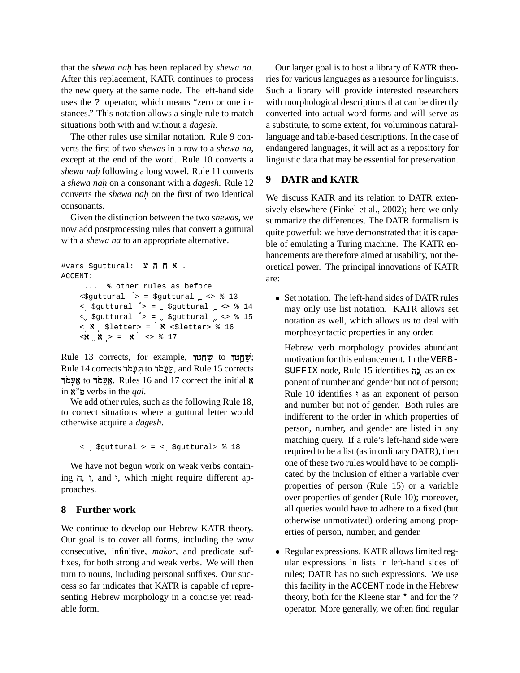that the *shewa nah.* has been replaced by *shewa na*. After this replacement, KATR continues to process the new query at the same node. The left-hand side uses the ? operator, which means "zero or one instances." This notation allows a single rule to match situations both with and without a *dagesh*.

The other rules use similar notation. Rule 9 converts the first of two *shewa*s in a row to a *shewa na*, except at the end of the word. Rule 10 converts a *shewa nah.* following a long vowel. Rule 11 converts a *shewa nah.* on a consonant with a *dagesh*. Rule 12 converts the *shewa nah.* on the first of two identical consonants.

Given the distinction between the two *shewa*s, we now add postprocessing rules that convert a guttural with a *shewa na* to an appropriate alternative.

```
#vars $guttural: אחה ע
ACCENT:
       ... % other rules as before
      \epsilon$guttural > = $guttural \epsilon > % 13
      <  $guttural  > =  $guttural  <> % 14
      \langle $guttural \rangle = \langle $guttural \langle <> \rangle $ 15
      \langle \mathbf{X} \rangle $letter> = \mathbf{X} <$letter> % 16
      \langle X \, | \, X \rangle = \, X \, \langle \rangle \geq 17
```
Rule 13 corrects, for example, שֲחֲטוּ to שָׁחָטוּ: Rule 14 corrects תַעֲמד, and Rule 15 corrects אָעֵמד to אֱצֵמד, Rules 16 and 17 correct the initial **x** in ,"<sup>L</sup> verbs in the *qal*.

We add other rules, such as the following Rule 18, to correct situations where a guttural letter would otherwise acquire a *dagesh*.

< \$guttural > = < \$guttural> % 18

We have not begun work on weak verbs contain- $\eta$ ,  $\eta$ , and  $\eta$ , which might require different approaches.

### **8 Further work**

We continue to develop our Hebrew KATR theory. Our goal is to cover all forms, including the *waw* consecutive, infinitive, *makor*, and predicate suffixes, for both strong and weak verbs. We will then turn to nouns, including personal suffixes. Our success so far indicates that KATR is capable of representing Hebrew morphology in a concise yet readable form.

Our larger goal is to host a library of KATR theories for various languages as a resource for linguists. Such a library will provide interested researchers with morphological descriptions that can be directly converted into actual word forms and will serve as a substitute, to some extent, for voluminous naturallanguage and table-based descriptions. In the case of endangered languages, it will act as a repository for linguistic data that may be essential for preservation.

## **9 DATR and KATR**

We discuss KATR and its relation to DATR extensively elsewhere (Finkel et al., 2002); here we only summarize the differences. The DATR formalism is quite powerful; we have demonstrated that it is capable of emulating a Turing machine. The KATR enhancements are therefore aimed at usability, not theoretical power. The principal innovations of KATR are:

• Set notation. The left-hand sides of DATR rules may only use list notation. KATR allows set notation as well, which allows us to deal with morphosyntactic properties in any order.

Hebrew verb morphology provides abundant motivation for this enhancement. In the VERB-SUFFIX node, Rule 15 identifies נָה ponent of number and gender but not of person; Rule 10 identifies **a** as an exponent of person and number but not of gender. Both rules are indifferent to the order in which properties of person, number, and gender are listed in any matching query. If a rule's left-hand side were required to be a list (as in ordinary DATR), then one of these two rules would have to be complicated by the inclusion of either a variable over properties of person (Rule 15) or a variable over properties of gender (Rule 10); moreover, all queries would have to adhere to a fixed (but otherwise unmotivated) ordering among properties of person, number, and gender.

[ Regular expressions. KATR allows limited regular expressions in lists in left-hand sides of rules; DATR has no such expressions. We use this facility in the ACCENT node in the Hebrew theory, both for the Kleene star \* and for the ? operator. More generally, we often find regular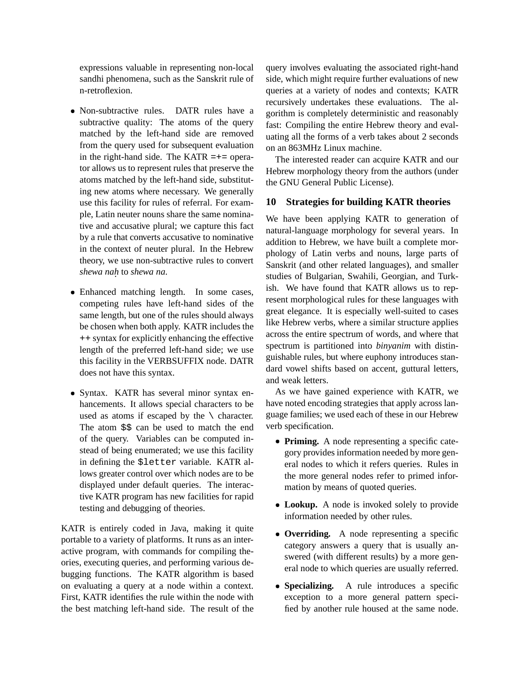expressions valuable in representing non-local sandhi phenomena, such as the Sanskrit rule of n-retroflexion.

- Non-subtractive rules. DATR rules have a subtractive quality: The atoms of the query matched by the left-hand side are removed from the query used for subsequent evaluation in the right-hand side. The KATR  $=+=$  operator allows us to represent rules that preserve the atoms matched by the left-hand side, substituting new atoms where necessary. We generally use this facility for rules of referral. For example, Latin neuter nouns share the same nominative and accusative plural; we capture this fact by a rule that converts accusative to nominative in the context of neuter plural. In the Hebrew theory, we use non-subtractive rules to convert *shewa nah.* to *shewa na*.
- Enhanced matching length. In some cases, competing rules have left-hand sides of the same length, but one of the rules should always be chosen when both apply. KATR includes the ++ syntax for explicitly enhancing the effective length of the preferred left-hand side; we use this facility in the VERBSUFFIX node. DATR does not have this syntax.
- [ Syntax. KATR has several minor syntax enhancements. It allows special characters to be used as atoms if escaped by the  $\setminus$  character. The atom  $$5$  can be used to match the end of the query. Variables can be computed instead of being enumerated; we use this facility in defining the \$letter variable. KATR allows greater control over which nodes are to be displayed under default queries. The interactive KATR program has new facilities for rapid testing and debugging of theories.

KATR is entirely coded in Java, making it quite portable to a variety of platforms. It runs as an interactive program, with commands for compiling theories, executing queries, and performing various debugging functions. The KATR algorithm is based on evaluating a query at a node within a context. First, KATR identifies the rule within the node with the best matching left-hand side. The result of the query involves evaluating the associated right-hand side, which might require further evaluations of new queries at a variety of nodes and contexts; KATR recursively undertakes these evaluations. The algorithm is completely deterministic and reasonably fast: Compiling the entire Hebrew theory and evaluating all the forms of a verb takes about 2 seconds on an 863MHz Linux machine.

The interested reader can acquire KATR and our Hebrew morphology theory from the authors (under the GNU General Public License).

#### **10 Strategies for building KATR theories**

We have been applying KATR to generation of natural-language morphology for several years. In addition to Hebrew, we have built a complete morphology of Latin verbs and nouns, large parts of Sanskrit (and other related languages), and smaller studies of Bulgarian, Swahili, Georgian, and Turkish. We have found that KATR allows us to represent morphological rules for these languages with great elegance. It is especially well-suited to cases like Hebrew verbs, where a similar structure applies across the entire spectrum of words, and where that spectrum is partitioned into *binyanim* with distinguishable rules, but where euphony introduces standard vowel shifts based on accent, guttural letters, and weak letters.

As we have gained experience with KATR, we have noted encoding strategies that apply across language families; we used each of these in our Hebrew verb specification.

- **Priming.** A node representing a specific category provides information needed by more general nodes to which it refers queries. Rules in the more general nodes refer to primed information by means of quoted queries.
- Lookup. A node is invoked solely to provide information needed by other rules.
- **Overriding.** A node representing a specific category answers a query that is usually answered (with different results) by a more general node to which queries are usually referred.
- Specializing. **Specializing.** A rule introduces a specific exception to a more general pattern specified by another rule housed at the same node.